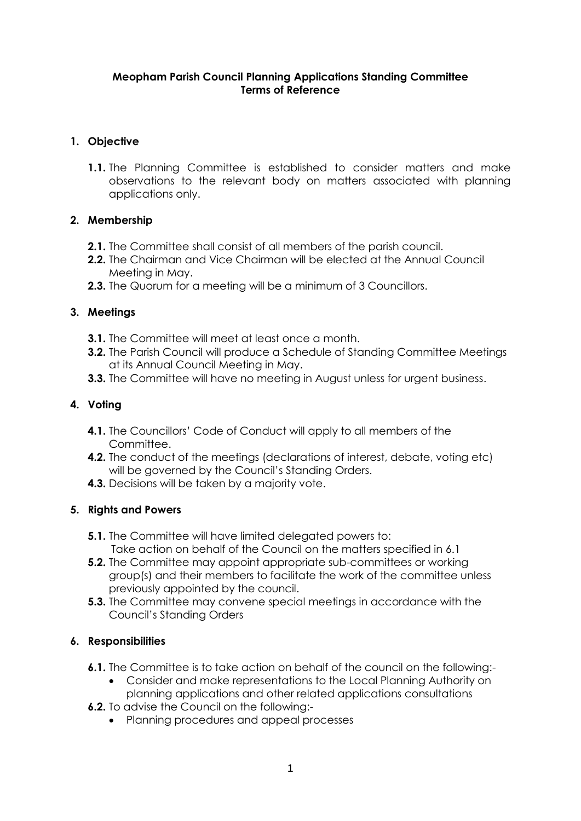#### **Meopham Parish Council Planning Applications Standing Committee Terms of Reference**

## **1. Objective**

**1.1.** The Planning Committee is established to consider matters and make observations to the relevant body on matters associated with planning applications only.

### **2. Membership**

- **2.1.** The Committee shall consist of all members of the parish council.
- **2.2.** The Chairman and Vice Chairman will be elected at the Annual Council Meeting in May.
- **2.3.** The Quorum for a meeting will be a minimum of 3 Councillors.

#### **3. Meetings**

- **3.1.** The Committee will meet at least once a month.
- **3.2.** The Parish Council will produce a Schedule of Standing Committee Meetings at its Annual Council Meeting in May.
- **3.3.** The Committee will have no meeting in August unless for urgent business.

#### **4. Voting**

- **4.1.** The Councillors' Code of Conduct will apply to all members of the Committee.
- **4.2.** The conduct of the meetings (declarations of interest, debate, voting etc) will be governed by the Council's Standing Orders.
- **4.3.** Decisions will be taken by a majority vote.

#### **5. Rights and Powers**

- **5.1.** The Committee will have limited delegated powers to: Take action on behalf of the Council on the matters specified in 6.1
- **5.2.** The Committee may appoint appropriate sub-committees or working group(s) and their members to facilitate the work of the committee unless previously appointed by the council.
- **5.3.** The Committee may convene special meetings in accordance with the Council's Standing Orders

#### **6. Responsibilities**

- **6.1.** The Committee is to take action on behalf of the council on the following:-
	- Consider and make representations to the Local Planning Authority on planning applications and other related applications consultations
- **6.2.** To advise the Council on the following:-
	- Planning procedures and appeal processes